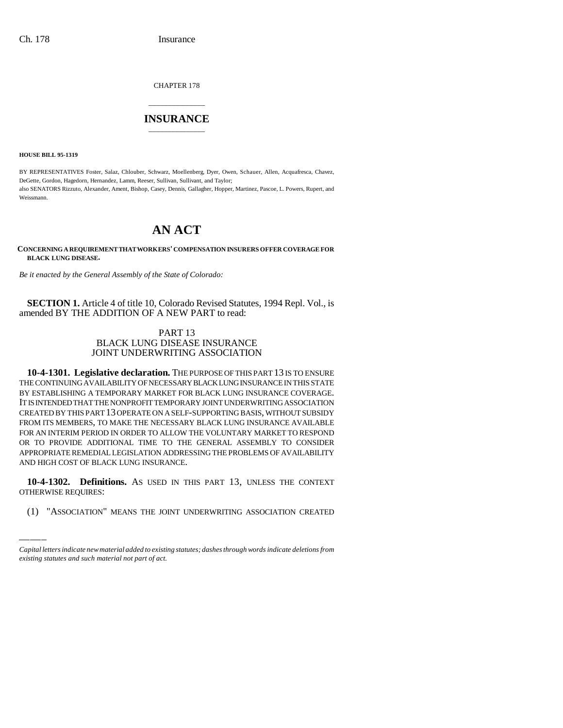CHAPTER 178

# \_\_\_\_\_\_\_\_\_\_\_\_\_\_\_ **INSURANCE** \_\_\_\_\_\_\_\_\_\_\_\_\_\_\_

**HOUSE BILL 95-1319**

BY REPRESENTATIVES Foster, Salaz, Chlouber, Schwarz, Moellenberg, Dyer, Owen, Schauer, Allen, Acquafresca, Chavez, DeGette, Gordon, Hagedorn, Hernandez, Lamm, Reeser, Sullivan, Sullivant, and Taylor; also SENATORS Rizzuto, Alexander, Ament, Bishop, Casey, Dennis, Gallagher, Hopper, Martinez, Pascoe, L. Powers, Rupert, and Weissmann.

# **AN ACT**

**CONCERNING A REQUIREMENT THAT WORKERS' COMPENSATION INSURERS OFFER COVERAGE FOR BLACK LUNG DISEASE.**

*Be it enacted by the General Assembly of the State of Colorado:*

**SECTION 1.** Article 4 of title 10, Colorado Revised Statutes, 1994 Repl. Vol., is amended BY THE ADDITION OF A NEW PART to read:

## PART 13 BLACK LUNG DISEASE INSURANCE JOINT UNDERWRITING ASSOCIATION

**10-4-1301. Legislative declaration.** THE PURPOSE OF THIS PART 13 IS TO ENSURE THE CONTINUING AVAILABILITY OF NECESSARY BLACK LUNG INSURANCE IN THIS STATE BY ESTABLISHING A TEMPORARY MARKET FOR BLACK LUNG INSURANCE COVERAGE. IT IS INTENDED THAT THE NONPROFIT TEMPORARY JOINT UNDERWRITING ASSOCIATION CREATED BY THIS PART 13 OPERATE ON A SELF-SUPPORTING BASIS, WITHOUT SUBSIDY FROM ITS MEMBERS, TO MAKE THE NECESSARY BLACK LUNG INSURANCE AVAILABLE FOR AN INTERIM PERIOD IN ORDER TO ALLOW THE VOLUNTARY MARKET TO RESPOND OR TO PROVIDE ADDITIONAL TIME TO THE GENERAL ASSEMBLY TO CONSIDER APPROPRIATE REMEDIAL LEGISLATION ADDRESSING THE PROBLEMS OF AVAILABILITY AND HIGH COST OF BLACK LUNG INSURANCE.

**10-4-1302. Definitions.** AS USED IN THIS PART 13, UNLESS THE CONTEXT OTHERWISE REQUIRES:

(1) "ASSOCIATION" MEANS THE JOINT UNDERWRITING ASSOCIATION CREATED

*Capital letters indicate new material added to existing statutes; dashes through words indicate deletions from existing statutes and such material not part of act.*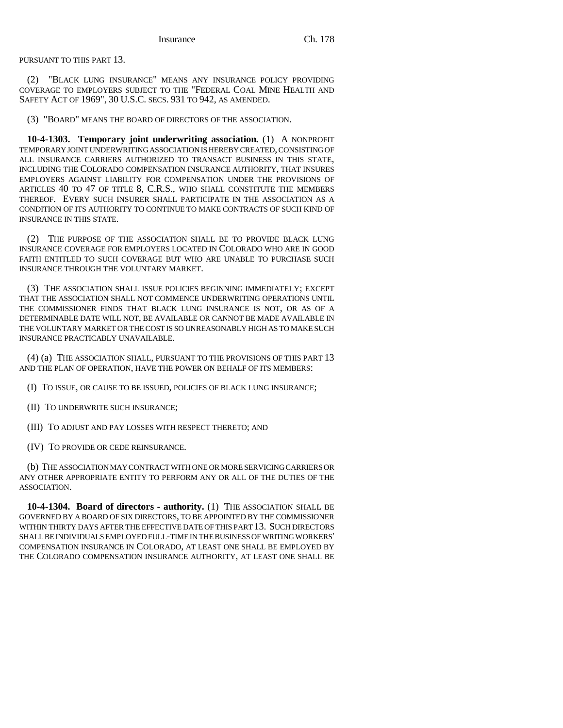PURSUANT TO THIS PART 13.

(2) "BLACK LUNG INSURANCE" MEANS ANY INSURANCE POLICY PROVIDING COVERAGE TO EMPLOYERS SUBJECT TO THE "FEDERAL COAL MINE HEALTH AND SAFETY ACT OF 1969", 30 U.S.C. SECS. 931 TO 942, AS AMENDED.

(3) "BOARD" MEANS THE BOARD OF DIRECTORS OF THE ASSOCIATION.

**10-4-1303. Temporary joint underwriting association.** (1) A NONPROFIT TEMPORARY JOINT UNDERWRITING ASSOCIATION IS HEREBY CREATED, CONSISTING OF ALL INSURANCE CARRIERS AUTHORIZED TO TRANSACT BUSINESS IN THIS STATE, INCLUDING THE COLORADO COMPENSATION INSURANCE AUTHORITY, THAT INSURES EMPLOYERS AGAINST LIABILITY FOR COMPENSATION UNDER THE PROVISIONS OF ARTICLES 40 TO 47 OF TITLE 8, C.R.S., WHO SHALL CONSTITUTE THE MEMBERS THEREOF. EVERY SUCH INSURER SHALL PARTICIPATE IN THE ASSOCIATION AS A CONDITION OF ITS AUTHORITY TO CONTINUE TO MAKE CONTRACTS OF SUCH KIND OF INSURANCE IN THIS STATE.

(2) THE PURPOSE OF THE ASSOCIATION SHALL BE TO PROVIDE BLACK LUNG INSURANCE COVERAGE FOR EMPLOYERS LOCATED IN COLORADO WHO ARE IN GOOD FAITH ENTITLED TO SUCH COVERAGE BUT WHO ARE UNABLE TO PURCHASE SUCH INSURANCE THROUGH THE VOLUNTARY MARKET.

(3) THE ASSOCIATION SHALL ISSUE POLICIES BEGINNING IMMEDIATELY; EXCEPT THAT THE ASSOCIATION SHALL NOT COMMENCE UNDERWRITING OPERATIONS UNTIL THE COMMISSIONER FINDS THAT BLACK LUNG INSURANCE IS NOT, OR AS OF A DETERMINABLE DATE WILL NOT, BE AVAILABLE OR CANNOT BE MADE AVAILABLE IN THE VOLUNTARY MARKET OR THE COST IS SO UNREASONABLY HIGH AS TO MAKE SUCH INSURANCE PRACTICABLY UNAVAILABLE.

(4) (a) THE ASSOCIATION SHALL, PURSUANT TO THE PROVISIONS OF THIS PART 13 AND THE PLAN OF OPERATION, HAVE THE POWER ON BEHALF OF ITS MEMBERS:

(I) TO ISSUE, OR CAUSE TO BE ISSUED, POLICIES OF BLACK LUNG INSURANCE;

(II) TO UNDERWRITE SUCH INSURANCE;

(III) TO ADJUST AND PAY LOSSES WITH RESPECT THERETO; AND

(IV) TO PROVIDE OR CEDE REINSURANCE.

(b) THE ASSOCIATION MAY CONTRACT WITH ONE OR MORE SERVICING CARRIERS OR ANY OTHER APPROPRIATE ENTITY TO PERFORM ANY OR ALL OF THE DUTIES OF THE ASSOCIATION.

**10-4-1304. Board of directors - authority.** (1) THE ASSOCIATION SHALL BE GOVERNED BY A BOARD OF SIX DIRECTORS, TO BE APPOINTED BY THE COMMISSIONER WITHIN THIRTY DAYS AFTER THE EFFECTIVE DATE OF THIS PART 13. SUCH DIRECTORS SHALL BE INDIVIDUALS EMPLOYED FULL-TIME IN THE BUSINESS OF WRITING WORKERS' COMPENSATION INSURANCE IN COLORADO, AT LEAST ONE SHALL BE EMPLOYED BY THE COLORADO COMPENSATION INSURANCE AUTHORITY, AT LEAST ONE SHALL BE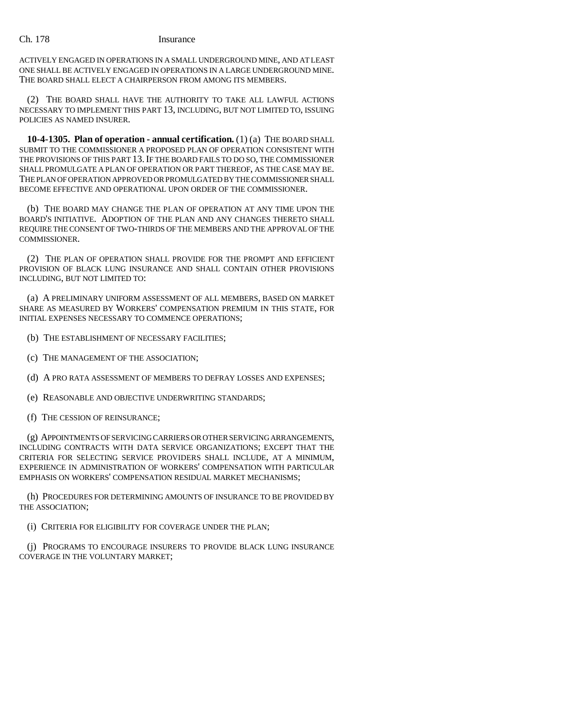### Ch. 178 Insurance

ACTIVELY ENGAGED IN OPERATIONS IN A SMALL UNDERGROUND MINE, AND AT LEAST ONE SHALL BE ACTIVELY ENGAGED IN OPERATIONS IN A LARGE UNDERGROUND MINE. THE BOARD SHALL ELECT A CHAIRPERSON FROM AMONG ITS MEMBERS.

(2) THE BOARD SHALL HAVE THE AUTHORITY TO TAKE ALL LAWFUL ACTIONS NECESSARY TO IMPLEMENT THIS PART 13, INCLUDING, BUT NOT LIMITED TO, ISSUING POLICIES AS NAMED INSURER.

**10-4-1305. Plan of operation - annual certification.** (1) (a) THE BOARD SHALL SUBMIT TO THE COMMISSIONER A PROPOSED PLAN OF OPERATION CONSISTENT WITH THE PROVISIONS OF THIS PART 13.IF THE BOARD FAILS TO DO SO, THE COMMISSIONER SHALL PROMULGATE A PLAN OF OPERATION OR PART THEREOF, AS THE CASE MAY BE. THE PLAN OF OPERATION APPROVED OR PROMULGATED BY THE COMMISSIONER SHALL BECOME EFFECTIVE AND OPERATIONAL UPON ORDER OF THE COMMISSIONER.

(b) THE BOARD MAY CHANGE THE PLAN OF OPERATION AT ANY TIME UPON THE BOARD'S INITIATIVE. ADOPTION OF THE PLAN AND ANY CHANGES THERETO SHALL REQUIRE THE CONSENT OF TWO-THIRDS OF THE MEMBERS AND THE APPROVAL OF THE COMMISSIONER.

(2) THE PLAN OF OPERATION SHALL PROVIDE FOR THE PROMPT AND EFFICIENT PROVISION OF BLACK LUNG INSURANCE AND SHALL CONTAIN OTHER PROVISIONS INCLUDING, BUT NOT LIMITED TO:

(a) A PRELIMINARY UNIFORM ASSESSMENT OF ALL MEMBERS, BASED ON MARKET SHARE AS MEASURED BY WORKERS' COMPENSATION PREMIUM IN THIS STATE, FOR INITIAL EXPENSES NECESSARY TO COMMENCE OPERATIONS;

- (b) THE ESTABLISHMENT OF NECESSARY FACILITIES;
- (c) THE MANAGEMENT OF THE ASSOCIATION;
- (d) A PRO RATA ASSESSMENT OF MEMBERS TO DEFRAY LOSSES AND EXPENSES;
- (e) REASONABLE AND OBJECTIVE UNDERWRITING STANDARDS;
- (f) THE CESSION OF REINSURANCE;

(g) APPOINTMENTS OF SERVICING CARRIERS OR OTHER SERVICING ARRANGEMENTS, INCLUDING CONTRACTS WITH DATA SERVICE ORGANIZATIONS; EXCEPT THAT THE CRITERIA FOR SELECTING SERVICE PROVIDERS SHALL INCLUDE, AT A MINIMUM, EXPERIENCE IN ADMINISTRATION OF WORKERS' COMPENSATION WITH PARTICULAR EMPHASIS ON WORKERS' COMPENSATION RESIDUAL MARKET MECHANISMS;

(h) PROCEDURES FOR DETERMINING AMOUNTS OF INSURANCE TO BE PROVIDED BY THE ASSOCIATION;

(i) CRITERIA FOR ELIGIBILITY FOR COVERAGE UNDER THE PLAN;

(j) PROGRAMS TO ENCOURAGE INSURERS TO PROVIDE BLACK LUNG INSURANCE COVERAGE IN THE VOLUNTARY MARKET;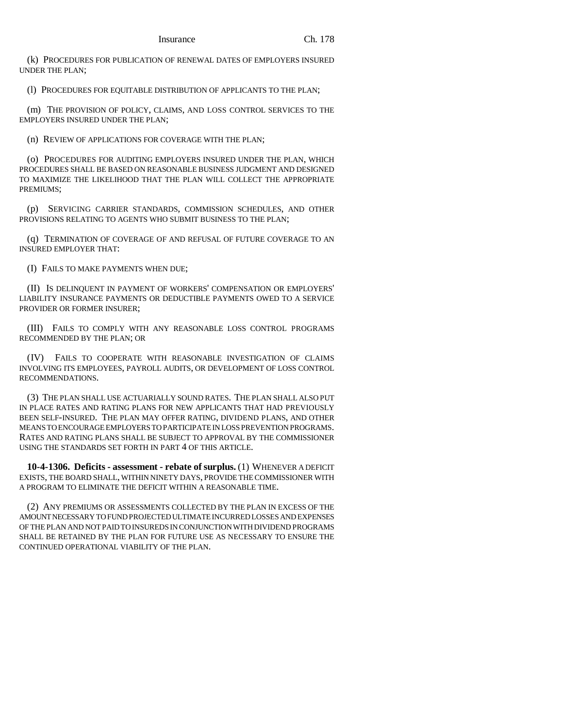(k) PROCEDURES FOR PUBLICATION OF RENEWAL DATES OF EMPLOYERS INSURED UNDER THE PLAN;

(l) PROCEDURES FOR EQUITABLE DISTRIBUTION OF APPLICANTS TO THE PLAN;

(m) THE PROVISION OF POLICY, CLAIMS, AND LOSS CONTROL SERVICES TO THE EMPLOYERS INSURED UNDER THE PLAN;

(n) REVIEW OF APPLICATIONS FOR COVERAGE WITH THE PLAN;

(o) PROCEDURES FOR AUDITING EMPLOYERS INSURED UNDER THE PLAN, WHICH PROCEDURES SHALL BE BASED ON REASONABLE BUSINESS JUDGMENT AND DESIGNED TO MAXIMIZE THE LIKELIHOOD THAT THE PLAN WILL COLLECT THE APPROPRIATE PREMIUMS;

(p) SERVICING CARRIER STANDARDS, COMMISSION SCHEDULES, AND OTHER PROVISIONS RELATING TO AGENTS WHO SUBMIT BUSINESS TO THE PLAN;

(q) TERMINATION OF COVERAGE OF AND REFUSAL OF FUTURE COVERAGE TO AN INSURED EMPLOYER THAT:

(I) FAILS TO MAKE PAYMENTS WHEN DUE;

(II) IS DELINQUENT IN PAYMENT OF WORKERS' COMPENSATION OR EMPLOYERS' LIABILITY INSURANCE PAYMENTS OR DEDUCTIBLE PAYMENTS OWED TO A SERVICE PROVIDER OR FORMER INSURER;

(III) FAILS TO COMPLY WITH ANY REASONABLE LOSS CONTROL PROGRAMS RECOMMENDED BY THE PLAN; OR

(IV) FAILS TO COOPERATE WITH REASONABLE INVESTIGATION OF CLAIMS INVOLVING ITS EMPLOYEES, PAYROLL AUDITS, OR DEVELOPMENT OF LOSS CONTROL RECOMMENDATIONS.

(3) THE PLAN SHALL USE ACTUARIALLY SOUND RATES. THE PLAN SHALL ALSO PUT IN PLACE RATES AND RATING PLANS FOR NEW APPLICANTS THAT HAD PREVIOUSLY BEEN SELF-INSURED. THE PLAN MAY OFFER RATING, DIVIDEND PLANS, AND OTHER MEANS TO ENCOURAGE EMPLOYERS TO PARTICIPATE IN LOSS PREVENTION PROGRAMS. RATES AND RATING PLANS SHALL BE SUBJECT TO APPROVAL BY THE COMMISSIONER USING THE STANDARDS SET FORTH IN PART 4 OF THIS ARTICLE.

**10-4-1306. Deficits - assessment - rebate of surplus.** (1) WHENEVER A DEFICIT EXISTS, THE BOARD SHALL, WITHIN NINETY DAYS, PROVIDE THE COMMISSIONER WITH A PROGRAM TO ELIMINATE THE DEFICIT WITHIN A REASONABLE TIME.

(2) ANY PREMIUMS OR ASSESSMENTS COLLECTED BY THE PLAN IN EXCESS OF THE AMOUNT NECESSARY TO FUND PROJECTED ULTIMATE INCURRED LOSSES AND EXPENSES OF THE PLAN AND NOT PAID TO INSUREDS IN CONJUNCTION WITH DIVIDEND PROGRAMS SHALL BE RETAINED BY THE PLAN FOR FUTURE USE AS NECESSARY TO ENSURE THE CONTINUED OPERATIONAL VIABILITY OF THE PLAN.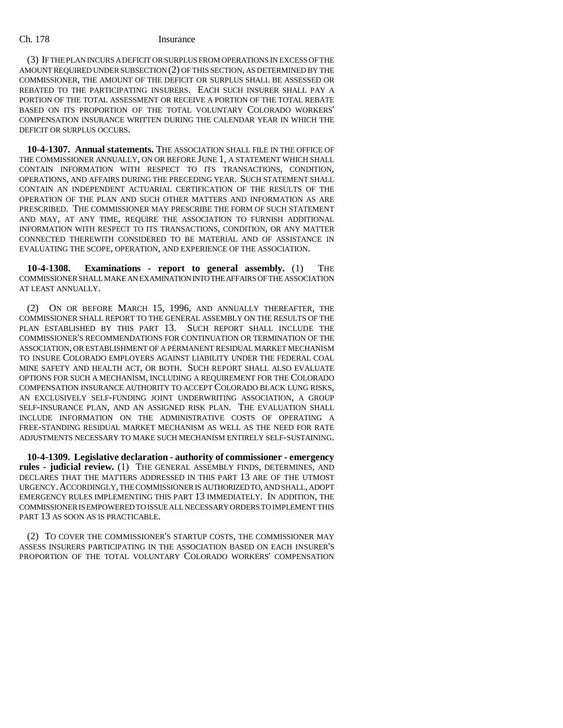### Ch. 178 Insurance

(3) IF THE PLAN INCURS A DEFICIT OR SURPLUS FROM OPERATIONS IN EXCESS OF THE AMOUNT REQUIRED UNDER SUBSECTION (2) OF THIS SECTION, AS DETERMINED BY THE COMMISSIONER, THE AMOUNT OF THE DEFICIT OR SURPLUS SHALL BE ASSESSED OR REBATED TO THE PARTICIPATING INSURERS. EACH SUCH INSURER SHALL PAY A PORTION OF THE TOTAL ASSESSMENT OR RECEIVE A PORTION OF THE TOTAL REBATE BASED ON ITS PROPORTION OF THE TOTAL VOLUNTARY COLORADO WORKERS' COMPENSATION INSURANCE WRITTEN DURING THE CALENDAR YEAR IN WHICH THE DEFICIT OR SURPLUS OCCURS.

**10-4-1307. Annual statements.** THE ASSOCIATION SHALL FILE IN THE OFFICE OF THE COMMISSIONER ANNUALLY, ON OR BEFORE JUNE 1, A STATEMENT WHICH SHALL CONTAIN INFORMATION WITH RESPECT TO ITS TRANSACTIONS, CONDITION, OPERATIONS, AND AFFAIRS DURING THE PRECEDING YEAR. SUCH STATEMENT SHALL CONTAIN AN INDEPENDENT ACTUARIAL CERTIFICATION OF THE RESULTS OF THE OPERATION OF THE PLAN AND SUCH OTHER MATTERS AND INFORMATION AS ARE PRESCRIBED. THE COMMISSIONER MAY PRESCRIBE THE FORM OF SUCH STATEMENT AND MAY, AT ANY TIME, REQUIRE THE ASSOCIATION TO FURNISH ADDITIONAL INFORMATION WITH RESPECT TO ITS TRANSACTIONS, CONDITION, OR ANY MATTER CONNECTED THEREWITH CONSIDERED TO BE MATERIAL AND OF ASSISTANCE IN EVALUATING THE SCOPE, OPERATION, AND EXPERIENCE OF THE ASSOCIATION.

**10-4-1308. Examinations - report to general assembly.** (1) THE COMMISSIONER SHALL MAKE AN EXAMINATION INTO THE AFFAIRS OF THE ASSOCIATION AT LEAST ANNUALLY.

(2) ON OR BEFORE MARCH 15, 1996, AND ANNUALLY THEREAFTER, THE COMMISSIONER SHALL REPORT TO THE GENERAL ASSEMBLY ON THE RESULTS OF THE PLAN ESTABLISHED BY THIS PART 13. SUCH REPORT SHALL INCLUDE THE COMMISSIONER'S RECOMMENDATIONS FOR CONTINUATION OR TERMINATION OF THE ASSOCIATION, OR ESTABLISHMENT OF A PERMANENT RESIDUAL MARKET MECHANISM TO INSURE COLORADO EMPLOYERS AGAINST LIABILITY UNDER THE FEDERAL COAL MINE SAFETY AND HEALTH ACT, OR BOTH. SUCH REPORT SHALL ALSO EVALUATE OPTIONS FOR SUCH A MECHANISM, INCLUDING A REQUIREMENT FOR THE COLORADO COMPENSATION INSURANCE AUTHORITY TO ACCEPT COLORADO BLACK LUNG RISKS, AN EXCLUSIVELY SELF-FUNDING JOINT UNDERWRITING ASSOCIATION, A GROUP SELF-INSURANCE PLAN, AND AN ASSIGNED RISK PLAN. THE EVALUATION SHALL INCLUDE INFORMATION ON THE ADMINISTRATIVE COSTS OF OPERATING A FREE-STANDING RESIDUAL MARKET MECHANISM AS WELL AS THE NEED FOR RATE ADJUSTMENTS NECESSARY TO MAKE SUCH MECHANISM ENTIRELY SELF-SUSTAINING.

**10-4-1309. Legislative declaration - authority of commissioner - emergency rules - judicial review.** (1) THE GENERAL ASSEMBLY FINDS, DETERMINES, AND DECLARES THAT THE MATTERS ADDRESSED IN THIS PART 13 ARE OF THE UTMOST URGENCY.ACCORDINGLY, THE COMMISSIONER IS AUTHORIZED TO, AND SHALL, ADOPT EMERGENCY RULES IMPLEMENTING THIS PART 13 IMMEDIATELY. IN ADDITION, THE COMMISSIONER IS EMPOWERED TO ISSUE ALL NECESSARY ORDERS TO IMPLEMENT THIS PART 13 AS SOON AS IS PRACTICABLE.

(2) TO COVER THE COMMISSIONER'S STARTUP COSTS, THE COMMISSIONER MAY ASSESS INSURERS PARTICIPATING IN THE ASSOCIATION BASED ON EACH INSURER'S PROPORTION OF THE TOTAL VOLUNTARY COLORADO WORKERS' COMPENSATION